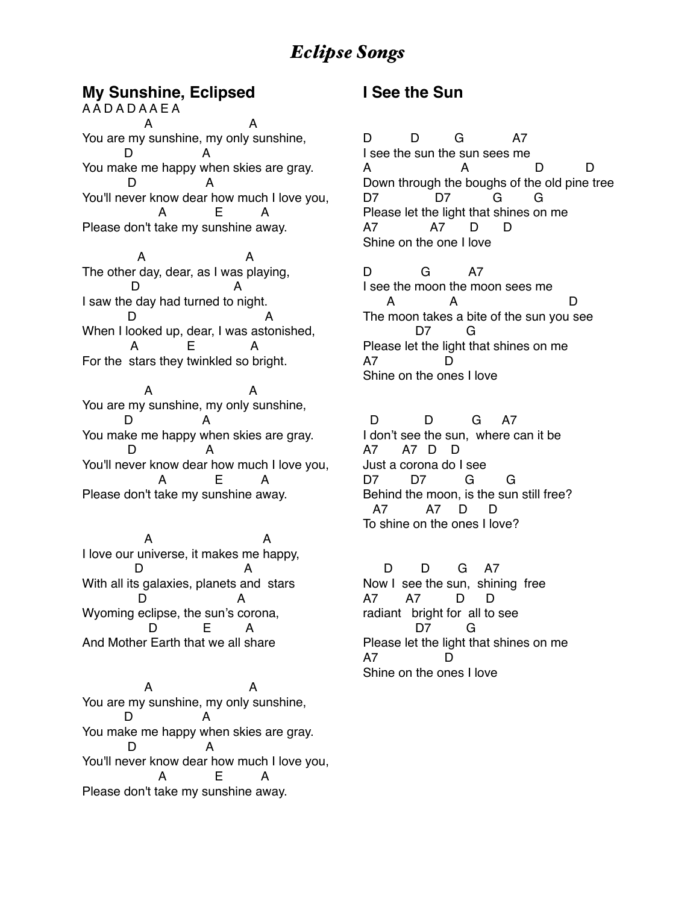#### **My Sunshine, Eclipsed**

A A D A D A A E A A A You are my sunshine, my only sunshine, D A You make me happy when skies are gray. D A You'll never know dear how much I love you, A E A Please don't take my sunshine away.

 A A The other day, dear, as I was playing, D A I saw the day had turned to night. D A When I looked up, dear, I was astonished, A E A For the stars they twinkled so bright.

 A A You are my sunshine, my only sunshine, D A You make me happy when skies are gray. D A You'll never know dear how much I love you, A E A Please don't take my sunshine away.

 A A I love our universe, it makes me happy, D A With all its galaxies, planets and stars D A Wyoming eclipse, the sun's corona, D E A And Mother Earth that we all share

 A A You are my sunshine, my only sunshine, D A You make me happy when skies are gray. D A You'll never know dear how much I love you, A E A Please don't take my sunshine away.

#### **I See the Sun**

D D G A7 I see the sun the sun sees me A A D D Down through the boughs of the old pine tree D7 D7 G G Please let the light that shines on me A7 A7 D D Shine on the one I love

D G A7 I see the moon the moon sees me A A D The moon takes a bite of the sun you see D7 G Please let the light that shines on me A7 D Shine on the ones I love

D D G A7 I don't see the sun, where can it be A7 A7 D D Just a corona do I see D7 D7 G G Behind the moon, is the sun still free? A7 A7 D D To shine on the ones I love?

 D D G A7 Now I see the sun, shining free A7 A7 D D radiant bright for all to see D7 G Please let the light that shines on me A7 Shine on the ones I love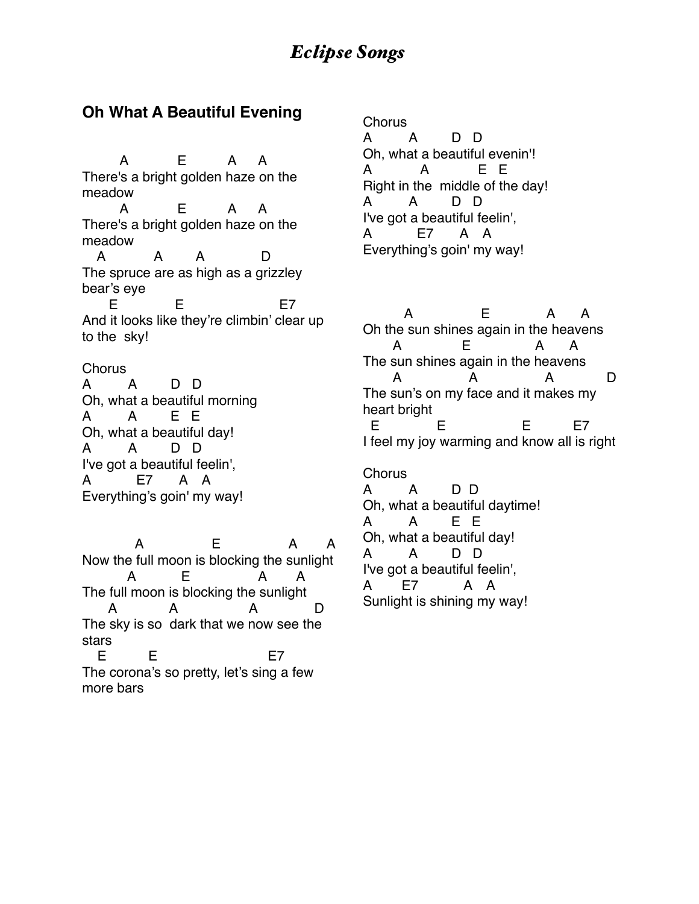#### **Oh What A Beautiful Evening**

 A E A A There's a bright golden haze on the meadow A E A A There's a bright golden haze on the meadow A A A D The spruce are as high as a grizzley bear's eye E E E7 And it looks like they're climbin' clear up to the sky!

**Chorus** A A D D Oh, what a beautiful morning A A E E Oh, what a beautiful day! A A D D I've got a beautiful feelin', A E7 A A Everything's goin' my way!

 A E A A Now the full moon is blocking the sunlight A E A A The full moon is blocking the sunlight A A A D The sky is so dark that we now see the stars E E E7 The corona's so pretty, let's sing a few more bars

Chorus A A D D Oh, what a beautiful evenin'! A A E E Right in the middle of the day! A A D D I've got a beautiful feelin', A E7 A A Everything's goin' my way!

 A E A A Oh the sun shines again in the heavens A E A A The sun shines again in the heavens A A A D The sun's on my face and it makes my heart bright E E E E7 I feel my joy warming and know all is right

Chorus A A D D Oh, what a beautiful daytime! A A E E Oh, what a beautiful day! A A D D I've got a beautiful feelin', A E7 A A Sunlight is shining my way!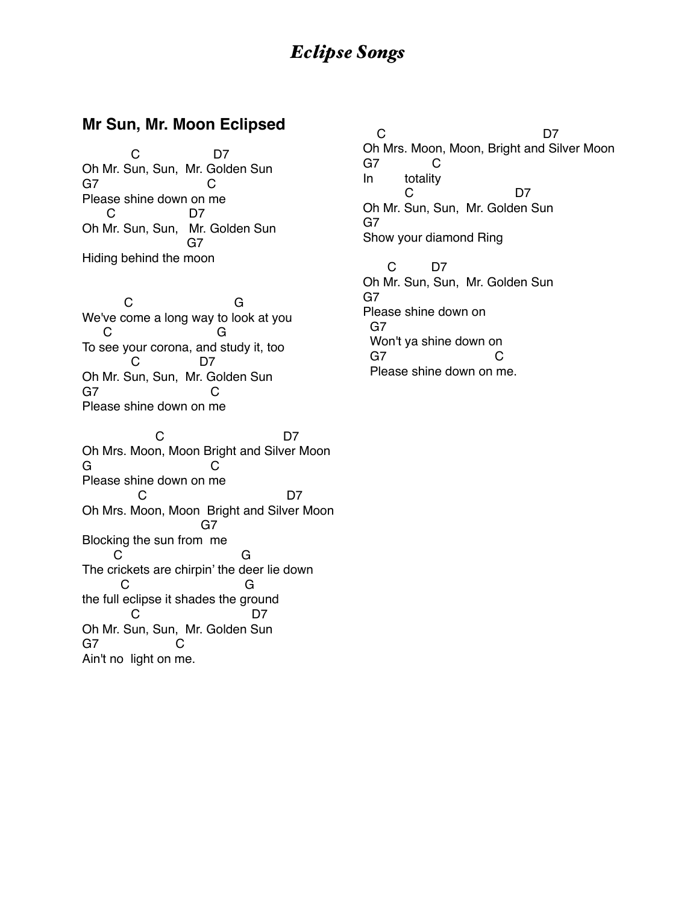#### **Mr Sun, Mr. Moon Eclipsed**

 C D7 Oh Mr. Sun, Sun, Mr. Golden Sun G7 C Please shine down on me C D7 Oh Mr. Sun, Sun, Mr. Golden Sun G7 Hiding behind the moon

 C G We've come a long way to look at you C G To see your corona, and study it, too C D7 Oh Mr. Sun, Sun, Mr. Golden Sun G7 C Please shine down on me

C<sub>D7</sub> Oh Mrs. Moon, Moon Bright and Silver Moon G C Please shine down on me C<sub>D7</sub> D7 Oh Mrs. Moon, Moon Bright and Silver Moon G7 Blocking the sun from me C G The crickets are chirpin' the deer lie down C G the full eclipse it shades the ground C<sub>D7</sub> Oh Mr. Sun, Sun, Mr. Golden Sun G7 C Ain't no light on me.

C<sub>D7</sub> Oh Mrs. Moon, Moon, Bright and Silver Moon G7 C In totality C<sub>D7</sub> Oh Mr. Sun, Sun, Mr. Golden Sun G7 Show your diamond Ring

 C D7 Oh Mr. Sun, Sun, Mr. Golden Sun G7 Please shine down on G7 Won't ya shine down on G7 C Please shine down on me.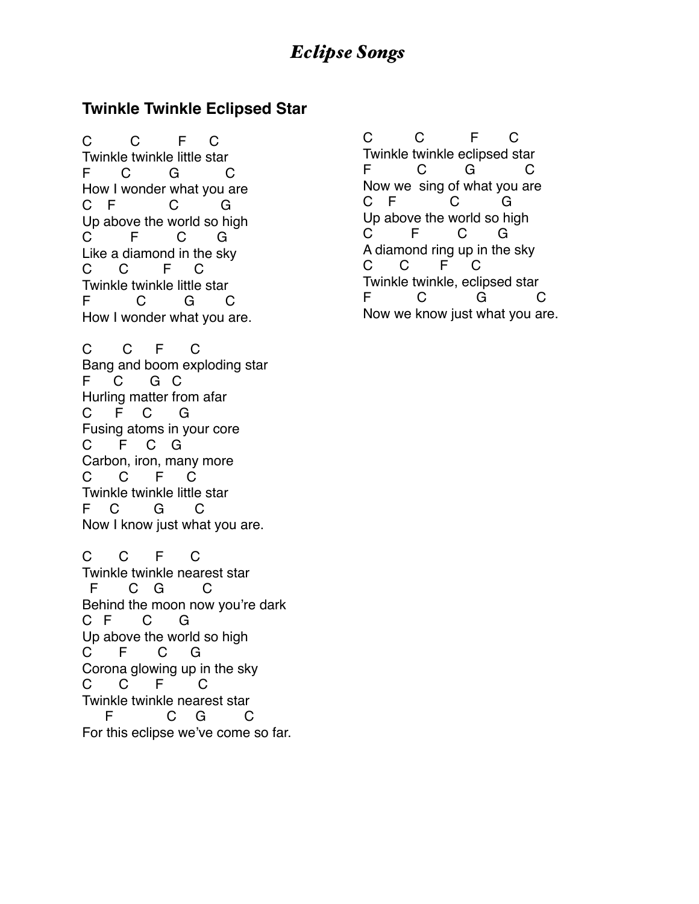#### **Twinkle Twinkle Eclipsed Star**

C C F C Twinkle twinkle little star F C G C How I wonder what you are C F C G Up above the world so high C F C G Like a diamond in the sky C C F C Twinkle twinkle little star F C G C How I wonder what you are.

C C F C Bang and boom exploding star F C G C Hurling matter from afar C F C G Fusing atoms in your core C F C G Carbon, iron, many more C C F C Twinkle twinkle little star F C G C Now I know just what you are.

C C F C Twinkle twinkle nearest star F C G C Behind the moon now you're dark C F C G Up above the world so high C F C G Corona glowing up in the sky C C F C Twinkle twinkle nearest star F C G C For this eclipse we've come so far.

C C F C Twinkle twinkle eclipsed star F C G C Now we sing of what you are C F C G Up above the world so high C F C G A diamond ring up in the sky C C F C Twinkle twinkle, eclipsed star F C G C Now we know just what you are.